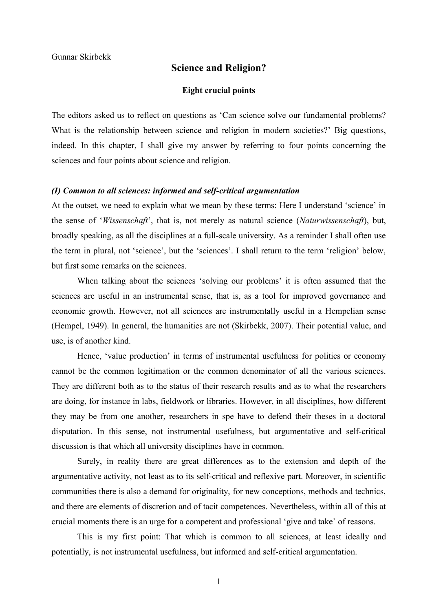# **Science and Religion?**

#### **Eight crucial points**

The editors asked us to reflect on questions as 'Can science solve our fundamental problems? What is the relationship between science and religion in modern societies? Big questions, indeed. In this chapter, I shall give my answer by referring to four points concerning the sciences and four points about science and religion.

#### *(I) Common to all sciences: informed and self-critical argumentation*

At the outset, we need to explain what we mean by these terms: Here I understand 'science' in the sense of '*Wissenschaft*', that is, not merely as natural science (*Naturwissenschaft*), but, broadly speaking, as all the disciplines at a full-scale university. As a reminder I shall often use the term in plural, not 'science', but the 'sciences'. I shall return to the term 'religion' below, but first some remarks on the sciences.

When talking about the sciences 'solving our problems' it is often assumed that the sciences are useful in an instrumental sense, that is, as a tool for improved governance and economic growth. However, not all sciences are instrumentally useful in a Hempelian sense (Hempel, 1949). In general, the humanities are not (Skirbekk, 2007). Their potential value, and use, is of another kind.

Hence, 'value production' in terms of instrumental usefulness for politics or economy cannot be the common legitimation or the common denominator of all the various sciences. They are different both as to the status of their research results and as to what the researchers are doing, for instance in labs, fieldwork or libraries. However, in all disciplines, how different they may be from one another, researchers in spe have to defend their theses in a doctoral disputation. In this sense, not instrumental usefulness, but argumentative and self-critical discussion is that which all university disciplines have in common.

Surely, in reality there are great differences as to the extension and depth of the argumentative activity, not least as to its self-critical and reflexive part. Moreover, in scientific communities there is also a demand for originality, for new conceptions, methods and technics, and there are elements of discretion and of tacit competences. Nevertheless, within all of this at crucial moments there is an urge for a competent and professional 'give and take' of reasons.

This is my first point: That which is common to all sciences, at least ideally and potentially, is not instrumental usefulness, but informed and self-critical argumentation.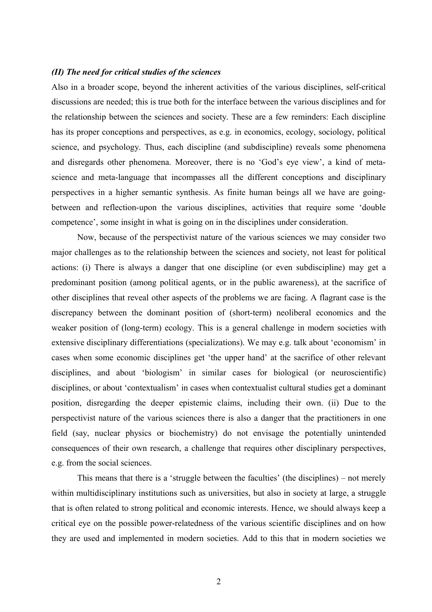## *(II) The need for critical studies of the sciences*

Also in a broader scope, beyond the inherent activities of the various disciplines, self-critical discussions are needed; this is true both for the interface between the various disciplines and for the relationship between the sciences and society. These are a few reminders: Each discipline has its proper conceptions and perspectives, as e.g. in economics, ecology, sociology, political science, and psychology. Thus, each discipline (and subdiscipline) reveals some phenomena and disregards other phenomena. Moreover, there is no 'God's eye view', a kind of metascience and meta-language that incompasses all the different conceptions and disciplinary perspectives in a higher semantic synthesis. As finite human beings all we have are goingbetween and reflection-upon the various disciplines, activities that require some 'double competence', some insight in what is going on in the disciplines under consideration.

Now, because of the perspectivist nature of the various sciences we may consider two major challenges as to the relationship between the sciences and society, not least for political actions: (i) There is always a danger that one discipline (or even subdiscipline) may get a predominant position (among political agents, or in the public awareness), at the sacrifice of other disciplines that reveal other aspects of the problems we are facing. A flagrant case is the discrepancy between the dominant position of (short-term) neoliberal economics and the weaker position of (long-term) ecology. This is a general challenge in modern societies with extensive disciplinary differentiations (specializations). We may e.g. talk about 'economism' in cases when some economic disciplines get 'the upper hand' at the sacrifice of other relevant disciplines, and about 'biologism' in similar cases for biological (or neuroscientific) disciplines, or about 'contextualism' in cases when contextualist cultural studies get a dominant position, disregarding the deeper epistemic claims, including their own. (ii) Due to the perspectivist nature of the various sciences there is also a danger that the practitioners in one field (say, nuclear physics or biochemistry) do not envisage the potentially unintended consequences of their own research, a challenge that requires other disciplinary perspectives, e.g. from the social sciences.

This means that there is a 'struggle between the faculties' (the disciplines) – not merely within multidisciplinary institutions such as universities, but also in society at large, a struggle that is often related to strong political and economic interests. Hence, we should always keep a critical eye on the possible power-relatedness of the various scientific disciplines and on how they are used and implemented in modern societies. Add to this that in modern societies we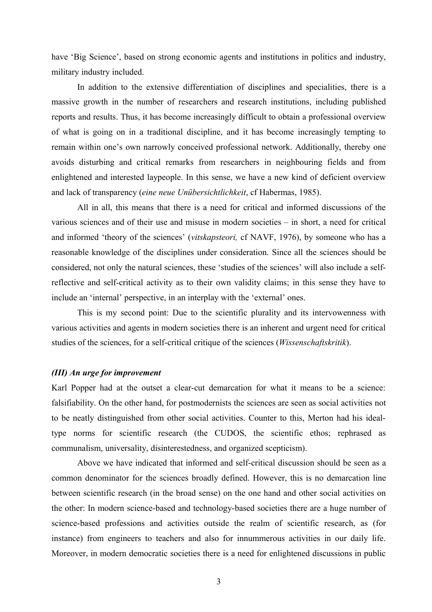have 'Big Science', based on strong economic agents and institutions in politics and industry, military industry included.

In addition to the extensive differentiation of disciplines and specialities, there is a massive growth in the number of researchers and research institutions, including published reports and results. Thus, it has become increasingly difficult to obtain a professional overview of what is going on in a traditional discipline, and it has become increasingly tempting to remain within one's own narrowly conceived professional network. Additionally, thereby one avoids disturbing and critical remarks from researchers in neighbouring fields and from enlightened and interested laypeople. In this sense, we have a new kind of deficient overview and lack of transparency (*eine neue Unübersichtlichkeit*, cf Habermas, 1985).

All in all, this means that there is a need for critical and informed discussions of the various sciences and of their use and misuse in modern societies – in short, a need for critical and informed 'theory of the sciences' (*vitskapsteori,* cf NAVF, 1976), by someone who has a reasonable knowledge of the disciplines under consideration. Since all the sciences should be considered, not only the natural sciences, these 'studies of the sciences' will also include a selfreflective and self-critical activity as to their own validity claims; in this sense they have to include an 'internal' perspective, in an interplay with the 'external' ones.

This is my second point: Due to the scientific plurality and its intervowenness with various activities and agents in modern societies there is an inherent and urgent need for critical studies of the sciences, for a self-critical critique of the sciences (*Wissenschaftskritik*).

## *(III) An urge for improvement*

Karl Popper had at the outset a clear-cut demarcation for what it means to be a science: falsifiability. On the other hand, for postmodernists the sciences are seen as social activities not to be neatly distinguished from other social activities. Counter to this, Merton had his idealtype norms for scientific research (the CUDOS, the scientific ethos; rephrased as communalism, universality, disinterestedness, and organized scepticism).

Above we have indicated that informed and self-critical discussion should be seen as a common denominator for the sciences broadly defined. However, this is no demarcation line between scientific research (in the broad sense) on the one hand and other social activities on the other: In modern science-based and technology-based societies there are a huge number of science-based professions and activities outside the realm of scientific research, as (for instance) from engineers to teachers and also for innummerous activities in our daily life. Moreover, in modern democratic societies there is a need for enlightened discussions in public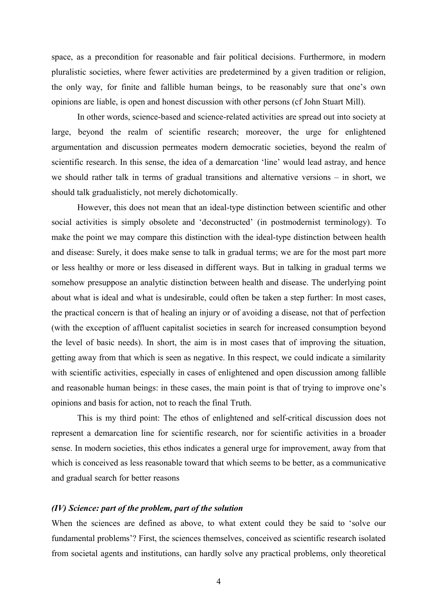space, as a precondition for reasonable and fair political decisions. Furthermore, in modern pluralistic societies, where fewer activities are predetermined by a given tradition or religion, the only way, for finite and fallible human beings, to be reasonably sure that one's own opinions are liable, is open and honest discussion with other persons (cf John Stuart Mill).

In other words, science-based and science-related activities are spread out into society at large, beyond the realm of scientific research; moreover, the urge for enlightened argumentation and discussion permeates modern democratic societies, beyond the realm of scientific research. In this sense, the idea of a demarcation 'line' would lead astray, and hence we should rather talk in terms of gradual transitions and alternative versions – in short, we should talk gradualisticly, not merely dichotomically.

However, this does not mean that an ideal-type distinction between scientific and other social activities is simply obsolete and 'deconstructed' (in postmodernist terminology). To make the point we may compare this distinction with the ideal-type distinction between health and disease: Surely, it does make sense to talk in gradual terms; we are for the most part more or less healthy or more or less diseased in different ways. But in talking in gradual terms we somehow presuppose an analytic distinction between health and disease. The underlying point about what is ideal and what is undesirable, could often be taken a step further: In most cases, the practical concern is that of healing an injury or of avoiding a disease, not that of perfection (with the exception of affluent capitalist societies in search for increased consumption beyond the level of basic needs). In short, the aim is in most cases that of improving the situation, getting away from that which is seen as negative. In this respect, we could indicate a similarity with scientific activities, especially in cases of enlightened and open discussion among fallible and reasonable human beings: in these cases, the main point is that of trying to improve one's opinions and basis for action, not to reach the final Truth.

This is my third point: The ethos of enlightened and self-critical discussion does not represent a demarcation line for scientific research, nor for scientific activities in a broader sense. In modern societies, this ethos indicates a general urge for improvement, away from that which is conceived as less reasonable toward that which seems to be better, as a communicative and gradual search for better reasons

## *(IV) Science: part of the problem, part of the solution*

When the sciences are defined as above, to what extent could they be said to 'solve our fundamental problems'? First, the sciences themselves, conceived as scientific research isolated from societal agents and institutions, can hardly solve any practical problems, only theoretical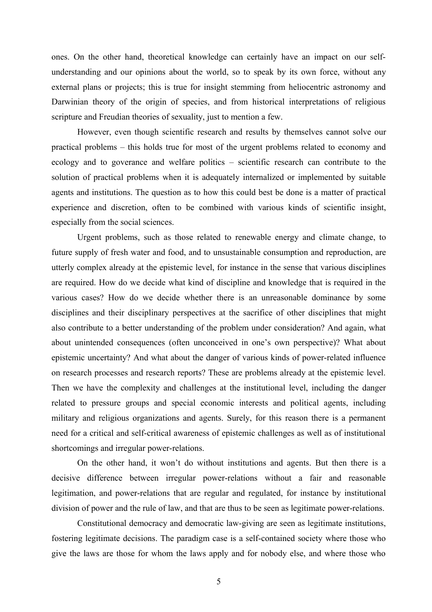ones. On the other hand, theoretical knowledge can certainly have an impact on our selfunderstanding and our opinions about the world, so to speak by its own force, without any external plans or projects; this is true for insight stemming from heliocentric astronomy and Darwinian theory of the origin of species, and from historical interpretations of religious scripture and Freudian theories of sexuality, just to mention a few.

However, even though scientific research and results by themselves cannot solve our practical problems – this holds true for most of the urgent problems related to economy and ecology and to goverance and welfare politics – scientific research can contribute to the solution of practical problems when it is adequately internalized or implemented by suitable agents and institutions. The question as to how this could best be done is a matter of practical experience and discretion, often to be combined with various kinds of scientific insight, especially from the social sciences.

Urgent problems, such as those related to renewable energy and climate change, to future supply of fresh water and food, and to unsustainable consumption and reproduction, are utterly complex already at the epistemic level, for instance in the sense that various disciplines are required. How do we decide what kind of discipline and knowledge that is required in the various cases? How do we decide whether there is an unreasonable dominance by some disciplines and their disciplinary perspectives at the sacrifice of other disciplines that might also contribute to a better understanding of the problem under consideration? And again, what about unintended consequences (often unconceived in one's own perspective)? What about epistemic uncertainty? And what about the danger of various kinds of power-related influence on research processes and research reports? These are problems already at the epistemic level. Then we have the complexity and challenges at the institutional level, including the danger related to pressure groups and special economic interests and political agents, including military and religious organizations and agents. Surely, for this reason there is a permanent need for a critical and self-critical awareness of epistemic challenges as well as of institutional shortcomings and irregular power-relations.

On the other hand, it won't do without institutions and agents. But then there is a decisive difference between irregular power-relations without a fair and reasonable legitimation, and power-relations that are regular and regulated, for instance by institutional division of power and the rule of law, and that are thus to be seen as legitimate power-relations.

Constitutional democracy and democratic law-giving are seen as legitimate institutions, fostering legitimate decisions. The paradigm case is a self-contained society where those who give the laws are those for whom the laws apply and for nobody else, and where those who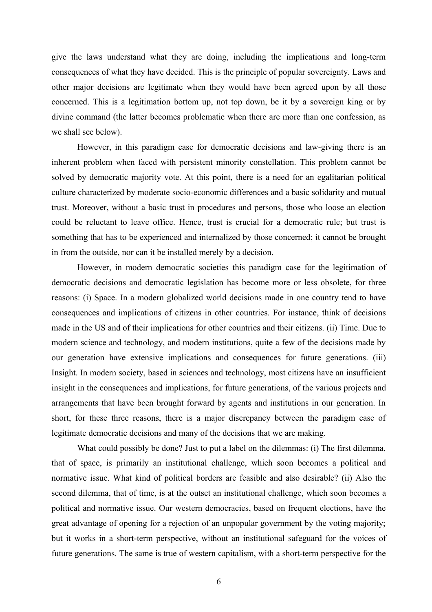give the laws understand what they are doing, including the implications and long-term consequences of what they have decided. This is the principle of popular sovereignty. Laws and other major decisions are legitimate when they would have been agreed upon by all those concerned. This is a legitimation bottom up, not top down, be it by a sovereign king or by divine command (the latter becomes problematic when there are more than one confession, as we shall see below).

However, in this paradigm case for democratic decisions and law-giving there is an inherent problem when faced with persistent minority constellation. This problem cannot be solved by democratic majority vote. At this point, there is a need for an egalitarian political culture characterized by moderate socio-economic differences and a basic solidarity and mutual trust. Moreover, without a basic trust in procedures and persons, those who loose an election could be reluctant to leave office. Hence, trust is crucial for a democratic rule; but trust is something that has to be experienced and internalized by those concerned; it cannot be brought in from the outside, nor can it be installed merely by a decision.

However, in modern democratic societies this paradigm case for the legitimation of democratic decisions and democratic legislation has become more or less obsolete, for three reasons: (i) Space. In a modern globalized world decisions made in one country tend to have consequences and implications of citizens in other countries. For instance, think of decisions made in the US and of their implications for other countries and their citizens. (ii) Time. Due to modern science and technology, and modern institutions, quite a few of the decisions made by our generation have extensive implications and consequences for future generations. (iii) Insight. In modern society, based in sciences and technology, most citizens have an insufficient insight in the consequences and implications, for future generations, of the various projects and arrangements that have been brought forward by agents and institutions in our generation. In short, for these three reasons, there is a major discrepancy between the paradigm case of legitimate democratic decisions and many of the decisions that we are making.

What could possibly be done? Just to put a label on the dilemmas: (i) The first dilemma, that of space, is primarily an institutional challenge, which soon becomes a political and normative issue. What kind of political borders are feasible and also desirable? (ii) Also the second dilemma, that of time, is at the outset an institutional challenge, which soon becomes a political and normative issue. Our western democracies, based on frequent elections, have the great advantage of opening for a rejection of an unpopular government by the voting majority; but it works in a short-term perspective, without an institutional safeguard for the voices of future generations. The same is true of western capitalism, with a short-term perspective for the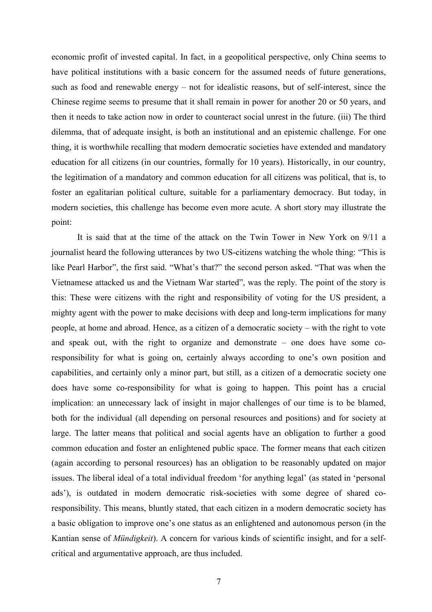economic profit of invested capital. In fact, in a geopolitical perspective, only China seems to have political institutions with a basic concern for the assumed needs of future generations, such as food and renewable energy – not for idealistic reasons, but of self-interest, since the Chinese regime seems to presume that it shall remain in power for another 20 or 50 years, and then it needs to take action now in order to counteract social unrest in the future. (iii) The third dilemma, that of adequate insight, is both an institutional and an epistemic challenge. For one thing, it is worthwhile recalling that modern democratic societies have extended and mandatory education for all citizens (in our countries, formally for 10 years). Historically, in our country, the legitimation of a mandatory and common education for all citizens was political, that is, to foster an egalitarian political culture, suitable for a parliamentary democracy. But today, in modern societies, this challenge has become even more acute. A short story may illustrate the point:

It is said that at the time of the attack on the Twin Tower in New York on 9/11 a journalist heard the following utterances by two US-citizens watching the whole thing: "This is like Pearl Harbor", the first said. "What's that?" the second person asked. "That was when the Vietnamese attacked us and the Vietnam War started", was the reply. The point of the story is this: These were citizens with the right and responsibility of voting for the US president, a mighty agent with the power to make decisions with deep and long-term implications for many people, at home and abroad. Hence, as a citizen of a democratic society – with the right to vote and speak out, with the right to organize and demonstrate – one does have some coresponsibility for what is going on, certainly always according to one's own position and capabilities, and certainly only a minor part, but still, as a citizen of a democratic society one does have some co-responsibility for what is going to happen. This point has a crucial implication: an unnecessary lack of insight in major challenges of our time is to be blamed, both for the individual (all depending on personal resources and positions) and for society at large. The latter means that political and social agents have an obligation to further a good common education and foster an enlightened public space. The former means that each citizen (again according to personal resources) has an obligation to be reasonably updated on major issues. The liberal ideal of a total individual freedom 'for anything legal' (as stated in 'personal ads'), is outdated in modern democratic risk-societies with some degree of shared coresponsibility. This means, bluntly stated, that each citizen in a modern democratic society has a basic obligation to improve one's one status as an enlightened and autonomous person (in the Kantian sense of *Mündigkeit*). A concern for various kinds of scientific insight, and for a selfcritical and argumentative approach, are thus included.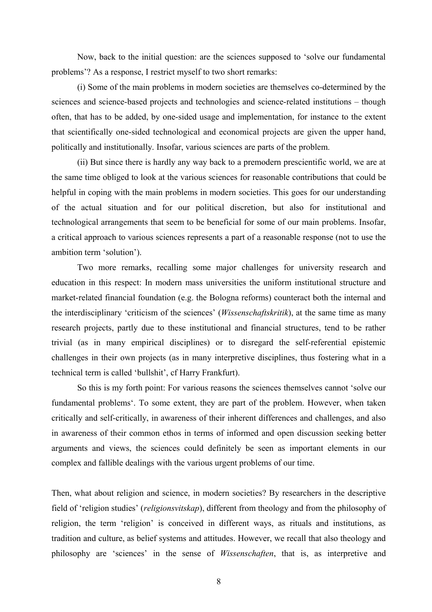Now, back to the initial question: are the sciences supposed to 'solve our fundamental problems'? As a response, I restrict myself to two short remarks:

(i) Some of the main problems in modern societies are themselves co-determined by the sciences and science-based projects and technologies and science-related institutions – though often, that has to be added, by one-sided usage and implementation, for instance to the extent that scientifically one-sided technological and economical projects are given the upper hand, politically and institutionally. Insofar, various sciences are parts of the problem.

(ii) But since there is hardly any way back to a premodern prescientific world, we are at the same time obliged to look at the various sciences for reasonable contributions that could be helpful in coping with the main problems in modern societies. This goes for our understanding of the actual situation and for our political discretion, but also for institutional and technological arrangements that seem to be beneficial for some of our main problems. Insofar, a critical approach to various sciences represents a part of a reasonable response (not to use the ambition term 'solution').

Two more remarks, recalling some major challenges for university research and education in this respect: In modern mass universities the uniform institutional structure and market-related financial foundation (e.g. the Bologna reforms) counteract both the internal and the interdisciplinary 'criticism of the sciences' (*Wissenschaftskritik*), at the same time as many research projects, partly due to these institutional and financial structures, tend to be rather trivial (as in many empirical disciplines) or to disregard the self-referential epistemic challenges in their own projects (as in many interpretive disciplines, thus fostering what in a technical term is called 'bullshit', cf Harry Frankfurt).

So this is my forth point: For various reasons the sciences themselves cannot 'solve our fundamental problems'. To some extent, they are part of the problem. However, when taken critically and self-critically, in awareness of their inherent differences and challenges, and also in awareness of their common ethos in terms of informed and open discussion seeking better arguments and views, the sciences could definitely be seen as important elements in our complex and fallible dealings with the various urgent problems of our time.

Then, what about religion and science, in modern societies? By researchers in the descriptive field of 'religion studies' (*religionsvitskap*), different from theology and from the philosophy of religion, the term 'religion' is conceived in different ways, as rituals and institutions, as tradition and culture, as belief systems and attitudes. However, we recall that also theology and philosophy are 'sciences' in the sense of *Wissenschaften*, that is, as interpretive and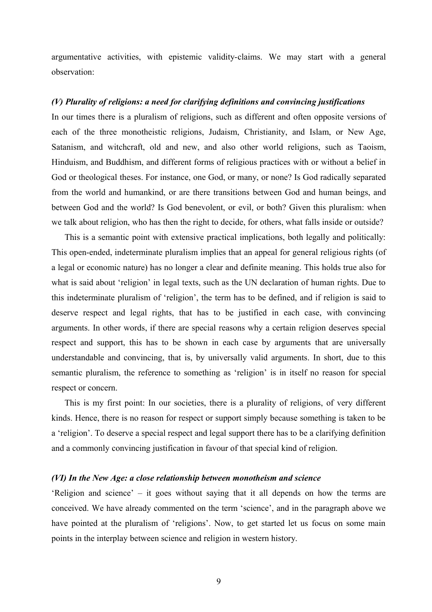argumentative activities, with epistemic validity-claims. We may start with a general observation:

## *(V) Plurality of religions: a need for clarifying definitions and convincing justifications*

In our times there is a pluralism of religions, such as different and often opposite versions of each of the three monotheistic religions, Judaism, Christianity, and Islam, or New Age, Satanism, and witchcraft, old and new, and also other world religions, such as Taoism, Hinduism, and Buddhism, and different forms of religious practices with or without a belief in God or theological theses. For instance, one God, or many, or none? Is God radically separated from the world and humankind, or are there transitions between God and human beings, and between God and the world? Is God benevolent, or evil, or both? Given this pluralism: when we talk about religion, who has then the right to decide, for others, what falls inside or outside?

This is a semantic point with extensive practical implications, both legally and politically: This open-ended, indeterminate pluralism implies that an appeal for general religious rights (of a legal or economic nature) has no longer a clear and definite meaning. This holds true also for what is said about 'religion' in legal texts, such as the UN declaration of human rights. Due to this indeterminate pluralism of 'religion', the term has to be defined, and if religion is said to deserve respect and legal rights, that has to be justified in each case, with convincing arguments. In other words, if there are special reasons why a certain religion deserves special respect and support, this has to be shown in each case by arguments that are universally understandable and convincing, that is, by universally valid arguments. In short, due to this semantic pluralism, the reference to something as 'religion' is in itself no reason for special respect or concern.

This is my first point: In our societies, there is a plurality of religions, of very different kinds. Hence, there is no reason for respect or support simply because something is taken to be a 'religion'. To deserve a special respect and legal support there has to be a clarifying definition and a commonly convincing justification in favour of that special kind of religion.

#### *(VI) In the New Age: a close relationship between monotheism and science*

'Religion and science' – it goes without saying that it all depends on how the terms are conceived. We have already commented on the term 'science', and in the paragraph above we have pointed at the pluralism of 'religions'. Now, to get started let us focus on some main points in the interplay between science and religion in western history.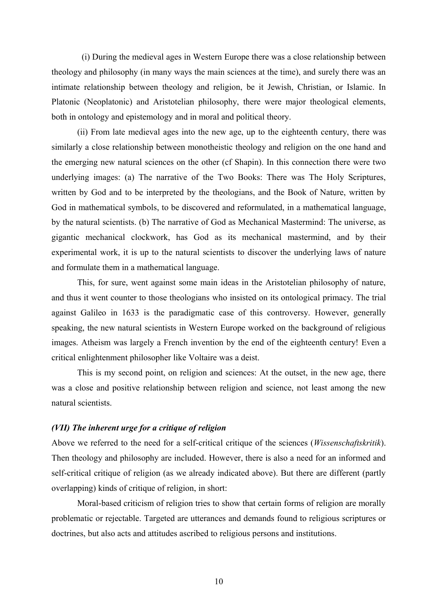(i) During the medieval ages in Western Europe there was a close relationship between theology and philosophy (in many ways the main sciences at the time), and surely there was an intimate relationship between theology and religion, be it Jewish, Christian, or Islamic. In Platonic (Neoplatonic) and Aristotelian philosophy, there were major theological elements, both in ontology and epistemology and in moral and political theory.

(ii) From late medieval ages into the new age, up to the eighteenth century, there was similarly a close relationship between monotheistic theology and religion on the one hand and the emerging new natural sciences on the other (cf Shapin). In this connection there were two underlying images: (a) The narrative of the Two Books: There was The Holy Scriptures, written by God and to be interpreted by the theologians, and the Book of Nature, written by God in mathematical symbols, to be discovered and reformulated, in a mathematical language, by the natural scientists. (b) The narrative of God as Mechanical Mastermind: The universe, as gigantic mechanical clockwork, has God as its mechanical mastermind, and by their experimental work, it is up to the natural scientists to discover the underlying laws of nature and formulate them in a mathematical language.

This, for sure, went against some main ideas in the Aristotelian philosophy of nature, and thus it went counter to those theologians who insisted on its ontological primacy. The trial against Galileo in 1633 is the paradigmatic case of this controversy. However, generally speaking, the new natural scientists in Western Europe worked on the background of religious images. Atheism was largely a French invention by the end of the eighteenth century! Even a critical enlightenment philosopher like Voltaire was a deist.

This is my second point, on religion and sciences: At the outset, in the new age, there was a close and positive relationship between religion and science, not least among the new natural scientists.

## *(VII) The inherent urge for a critique of religion*

Above we referred to the need for a self-critical critique of the sciences (*Wissenschaftskritik*). Then theology and philosophy are included. However, there is also a need for an informed and self-critical critique of religion (as we already indicated above). But there are different (partly overlapping) kinds of critique of religion, in short:

Moral-based criticism of religion tries to show that certain forms of religion are morally problematic or rejectable. Targeted are utterances and demands found to religious scriptures or doctrines, but also acts and attitudes ascribed to religious persons and institutions.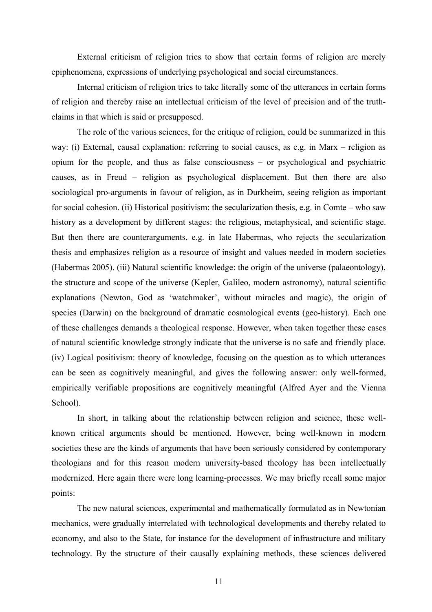External criticism of religion tries to show that certain forms of religion are merely epiphenomena, expressions of underlying psychological and social circumstances.

Internal criticism of religion tries to take literally some of the utterances in certain forms of religion and thereby raise an intellectual criticism of the level of precision and of the truthclaims in that which is said or presupposed.

The role of the various sciences, for the critique of religion, could be summarized in this way: (i) External, causal explanation: referring to social causes, as e.g. in Marx – religion as opium for the people, and thus as false consciousness – or psychological and psychiatric causes, as in Freud – religion as psychological displacement. But then there are also sociological pro-arguments in favour of religion, as in Durkheim, seeing religion as important for social cohesion. (ii) Historical positivism: the secularization thesis, e.g. in Comte – who saw history as a development by different stages: the religious, metaphysical, and scientific stage. But then there are counterarguments, e.g. in late Habermas, who rejects the secularization thesis and emphasizes religion as a resource of insight and values needed in modern societies (Habermas 2005). (iii) Natural scientific knowledge: the origin of the universe (palaeontology), the structure and scope of the universe (Kepler, Galileo, modern astronomy), natural scientific explanations (Newton, God as 'watchmaker', without miracles and magic), the origin of species (Darwin) on the background of dramatic cosmological events (geo-history). Each one of these challenges demands a theological response. However, when taken together these cases of natural scientific knowledge strongly indicate that the universe is no safe and friendly place. (iv) Logical positivism: theory of knowledge, focusing on the question as to which utterances can be seen as cognitively meaningful, and gives the following answer: only well-formed, empirically verifiable propositions are cognitively meaningful (Alfred Ayer and the Vienna School).

In short, in talking about the relationship between religion and science, these wellknown critical arguments should be mentioned. However, being well-known in modern societies these are the kinds of arguments that have been seriously considered by contemporary theologians and for this reason modern university-based theology has been intellectually modernized. Here again there were long learning-processes. We may briefly recall some major points:

The new natural sciences, experimental and mathematically formulated as in Newtonian mechanics, were gradually interrelated with technological developments and thereby related to economy, and also to the State, for instance for the development of infrastructure and military technology. By the structure of their causally explaining methods, these sciences delivered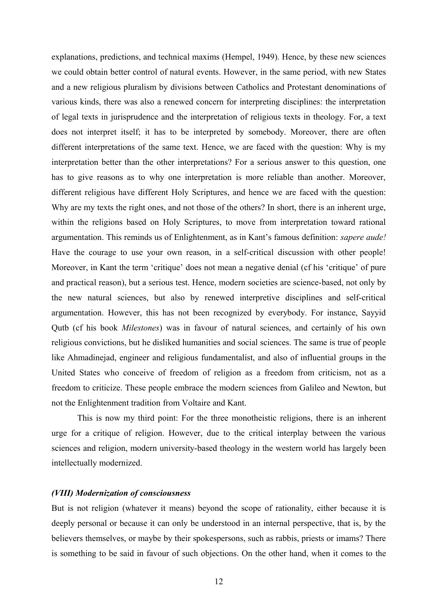explanations, predictions, and technical maxims (Hempel, 1949). Hence, by these new sciences we could obtain better control of natural events. However, in the same period, with new States and a new religious pluralism by divisions between Catholics and Protestant denominations of various kinds, there was also a renewed concern for interpreting disciplines: the interpretation of legal texts in jurisprudence and the interpretation of religious texts in theology. For, a text does not interpret itself; it has to be interpreted by somebody. Moreover, there are often different interpretations of the same text. Hence, we are faced with the question: Why is my interpretation better than the other interpretations? For a serious answer to this question, one has to give reasons as to why one interpretation is more reliable than another. Moreover, different religious have different Holy Scriptures, and hence we are faced with the question: Why are my texts the right ones, and not those of the others? In short, there is an inherent urge, within the religions based on Holy Scriptures, to move from interpretation toward rational argumentation. This reminds us of Enlightenment, as in Kant's famous definition: *sapere aude!* Have the courage to use your own reason, in a self-critical discussion with other people! Moreover, in Kant the term 'critique' does not mean a negative denial (cf his 'critique' of pure and practical reason), but a serious test. Hence, modern societies are science-based, not only by the new natural sciences, but also by renewed interpretive disciplines and self-critical argumentation. However, this has not been recognized by everybody. For instance, Sayyid Qutb (cf his book *Milestones*) was in favour of natural sciences, and certainly of his own religious convictions, but he disliked humanities and social sciences. The same is true of people like Ahmadinejad, engineer and religious fundamentalist, and also of influential groups in the United States who conceive of freedom of religion as a freedom from criticism, not as a freedom to criticize. These people embrace the modern sciences from Galileo and Newton, but not the Enlightenment tradition from Voltaire and Kant.

This is now my third point: For the three monotheistic religions, there is an inherent urge for a critique of religion. However, due to the critical interplay between the various sciences and religion, modern university-based theology in the western world has largely been intellectually modernized.

## *(VIII) Modernization of consciousness*

But is not religion (whatever it means) beyond the scope of rationality, either because it is deeply personal or because it can only be understood in an internal perspective, that is, by the believers themselves, or maybe by their spokespersons, such as rabbis, priests or imams? There is something to be said in favour of such objections. On the other hand, when it comes to the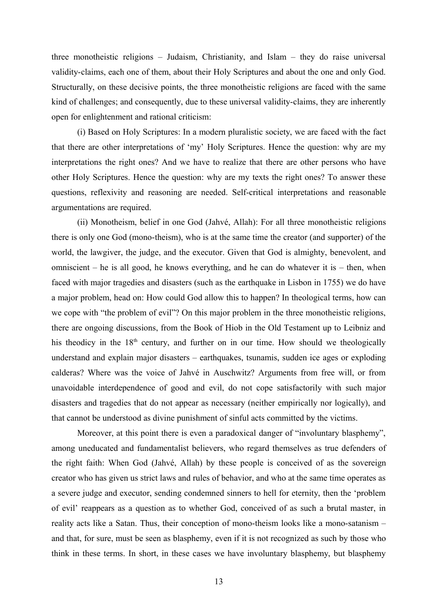three monotheistic religions – Judaism, Christianity, and Islam – they do raise universal validity-claims, each one of them, about their Holy Scriptures and about the one and only God. Structurally, on these decisive points, the three monotheistic religions are faced with the same kind of challenges; and consequently, due to these universal validity-claims, they are inherently open for enlightenment and rational criticism:

(i) Based on Holy Scriptures: In a modern pluralistic society, we are faced with the fact that there are other interpretations of 'my' Holy Scriptures. Hence the question: why are my interpretations the right ones? And we have to realize that there are other persons who have other Holy Scriptures. Hence the question: why are my texts the right ones? To answer these questions, reflexivity and reasoning are needed. Self-critical interpretations and reasonable argumentations are required.

(ii) Monotheism, belief in one God (Jahvé, Allah): For all three monotheistic religions there is only one God (mono-theism), who is at the same time the creator (and supporter) of the world, the lawgiver, the judge, and the executor. Given that God is almighty, benevolent, and omniscient – he is all good, he knows everything, and he can do whatever it is – then, when faced with major tragedies and disasters (such as the earthquake in Lisbon in 1755) we do have a major problem, head on: How could God allow this to happen? In theological terms, how can we cope with "the problem of evil"? On this major problem in the three monotheistic religions, there are ongoing discussions, from the Book of Hiob in the Old Testament up to Leibniz and his theodicy in the  $18<sup>th</sup>$  century, and further on in our time. How should we theologically understand and explain major disasters – earthquakes, tsunamis, sudden ice ages or exploding calderas? Where was the voice of Jahvé in Auschwitz? Arguments from free will, or from unavoidable interdependence of good and evil, do not cope satisfactorily with such major disasters and tragedies that do not appear as necessary (neither empirically nor logically), and that cannot be understood as divine punishment of sinful acts committed by the victims.

Moreover, at this point there is even a paradoxical danger of "involuntary blasphemy", among uneducated and fundamentalist believers, who regard themselves as true defenders of the right faith: When God (Jahvé, Allah) by these people is conceived of as the sovereign creator who has given us strict laws and rules of behavior, and who at the same time operates as a severe judge and executor, sending condemned sinners to hell for eternity, then the 'problem of evil' reappears as a question as to whether God, conceived of as such a brutal master, in reality acts like a Satan. Thus, their conception of mono-theism looks like a mono-satanism – and that, for sure, must be seen as blasphemy, even if it is not recognized as such by those who think in these terms. In short, in these cases we have involuntary blasphemy, but blasphemy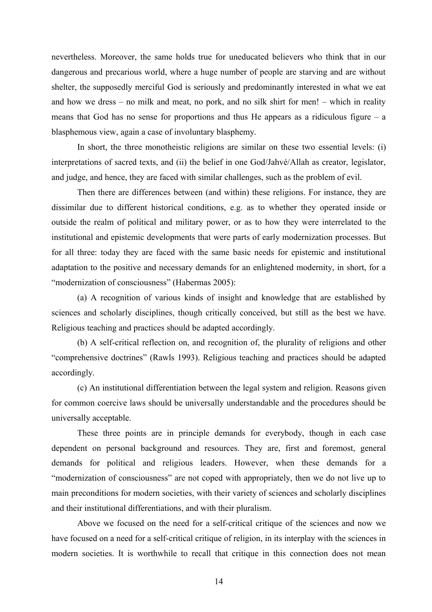nevertheless. Moreover, the same holds true for uneducated believers who think that in our dangerous and precarious world, where a huge number of people are starving and are without shelter, the supposedly merciful God is seriously and predominantly interested in what we eat and how we dress – no milk and meat, no pork, and no silk shirt for men! – which in reality means that God has no sense for proportions and thus He appears as a ridiculous figure – a blasphemous view, again a case of involuntary blasphemy.

In short, the three monotheistic religions are similar on these two essential levels: (i) interpretations of sacred texts, and (ii) the belief in one God/Jahvé/Allah as creator, legislator, and judge, and hence, they are faced with similar challenges, such as the problem of evil.

Then there are differences between (and within) these religions. For instance, they are dissimilar due to different historical conditions, e.g. as to whether they operated inside or outside the realm of political and military power, or as to how they were interrelated to the institutional and epistemic developments that were parts of early modernization processes. But for all three: today they are faced with the same basic needs for epistemic and institutional adaptation to the positive and necessary demands for an enlightened modernity, in short, for a "modernization of consciousness" (Habermas 2005):

(a) A recognition of various kinds of insight and knowledge that are established by sciences and scholarly disciplines, though critically conceived, but still as the best we have. Religious teaching and practices should be adapted accordingly.

(b) A self-critical reflection on, and recognition of, the plurality of religions and other "comprehensive doctrines" (Rawls 1993). Religious teaching and practices should be adapted accordingly.

(c) An institutional differentiation between the legal system and religion. Reasons given for common coercive laws should be universally understandable and the procedures should be universally acceptable.

These three points are in principle demands for everybody, though in each case dependent on personal background and resources. They are, first and foremost, general demands for political and religious leaders. However, when these demands for a "modernization of consciousness" are not coped with appropriately, then we do not live up to main preconditions for modern societies, with their variety of sciences and scholarly disciplines and their institutional differentiations, and with their pluralism.

Above we focused on the need for a self-critical critique of the sciences and now we have focused on a need for a self-critical critique of religion, in its interplay with the sciences in modern societies. It is worthwhile to recall that critique in this connection does not mean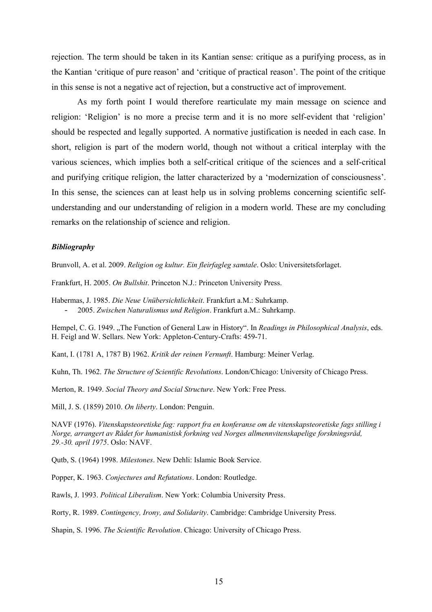rejection. The term should be taken in its Kantian sense: critique as a purifying process, as in the Kantian 'critique of pure reason' and 'critique of practical reason'. The point of the critique in this sense is not a negative act of rejection, but a constructive act of improvement.

As my forth point I would therefore rearticulate my main message on science and religion: 'Religion' is no more a precise term and it is no more self-evident that 'religion' should be respected and legally supported. A normative justification is needed in each case. In short, religion is part of the modern world, though not without a critical interplay with the various sciences, which implies both a self-critical critique of the sciences and a self-critical and purifying critique religion, the latter characterized by a 'modernization of consciousness'. In this sense, the sciences can at least help us in solving problems concerning scientific selfunderstanding and our understanding of religion in a modern world. These are my concluding remarks on the relationship of science and religion.

#### *Bibliography*

Brunvoll, A. et al. 2009. *Religion og kultur. Ein fleirfagleg samtale*. Oslo: Universitetsforlaget.

Frankfurt, H. 2005. *On Bullshit*. Princeton N.J.: Princeton University Press.

Habermas, J. 1985. *Die Neue Unübersichtlichkeit*. Frankfurt a.M.: Suhrkamp. - 2005. *Zwischen Naturalismus und Religion*. Frankfurt a.M.: Suhrkamp.

Hempel, C. G. 1949. "The Function of General Law in History". In *Readings in Philosophical Analysis*, eds. H. Feigl and W. Sellars. New York: Appleton-Century-Crafts: 459-71.

Kant, I. (1781 A, 1787 B) 1962. *Kritik der reinen Vernunft*. Hamburg: Meiner Verlag.

Kuhn, Th. 1962. *The Structure of Scientific Revolutions*. London/Chicago: University of Chicago Press.

Merton, R. 1949. *Social Theory and Social Structure*. New York: Free Press.

Mill, J. S. (1859) 2010. *On liberty*. London: Penguin.

NAVF (1976). *Vitenskapsteoretiske fag: rapport fra en konferanse om de vitenskapsteoretiske fags stilling i Norge, arrangert av Rådet for humanistisk forkning ved Norges allmennvitenskapelige forskningsråd, 29.-30. april 1975*. Oslo: NAVF.

Qutb, S. (1964) 1998. *Milestones*. New Dehli: Islamic Book Service.

Popper, K. 1963. *Conjectures and Refutations*. London: Routledge.

Rawls, J. 1993. *Political Liberalism*. New York: Columbia University Press.

Rorty, R. 1989. *Contingency, Irony, and Solidarity*. Cambridge: Cambridge University Press.

Shapin, S. 1996. *The Scientific Revolution*. Chicago: University of Chicago Press.